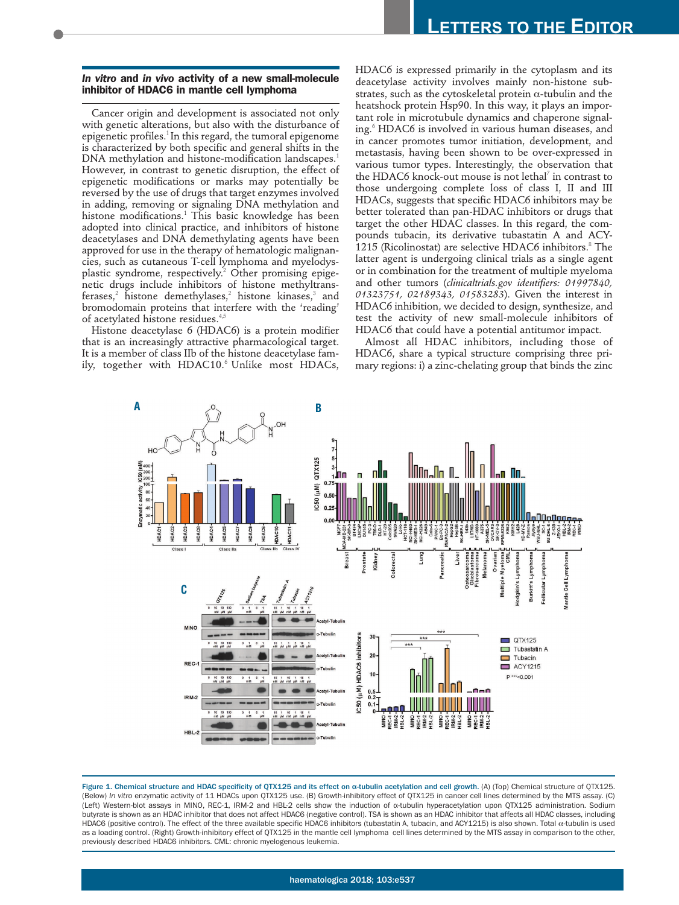## *In vitro* **and** *in vivo* **activity of a new small-molecule inhibitor of HDAC6 in mantle cell lymphoma**

Cancer origin and development is associated not only with genetic alterations, but also with the disturbance of epigenetic profiles.<sup>1</sup>In this regard, the tumoral epigenome is characterized by both specific and general shifts in the DNA methylation and histone-modification landscapes.<sup>1</sup> However, in contrast to genetic disruption, the effect of epigenetic modifications or marks may potentially be reversed by the use of drugs that target enzymes involved in adding, removing or signaling DNA methylation and histone modifications.<sup>1</sup> This basic knowledge has been adopted into clinical practice, and inhibitors of histone deacetylases and DNA demethylating agents have been approved for use in the therapy of hematologic malignancies, such as cutaneous T-cell lymphoma and myelodysplastic syndrome, respectively.<sup>2</sup> Other promising epigenetic drugs include inhibitors of histone methyltransferases,<sup>2</sup> histone demethylases,<sup>2</sup> histone kinases,<sup>3</sup> and bromodomain proteins that interfere with the 'reading' of acetylated histone residues.<sup>4,5</sup>

Histone deacetylase 6 (HDAC6) is a protein modifier that is an increasingly attractive pharmacological target. It is a member of class IIb of the histone deacetylase family, together with HDAC10.<sup>6</sup> Unlike most HDACs,

HDAC6 is expressed primarily in the cytoplasm and its deacetylase activity involves mainly non-histone substrates, such as the cytoskeletal protein  $\alpha$ -tubulin and the heatshock protein Hsp90. In this way, it plays an important role in microtubule dynamics and chaperone signaling.<sup>6</sup> HDAC6 is involved in various human diseases, and in cancer promotes tumor initiation, development, and metastasis, having been shown to be over-expressed in various tumor types. Interestingly, the observation that the HDAC6 knock-out mouse is not lethal<sup> $7$ </sup> in contrast to those undergoing complete loss of class I, II and III HDACs, suggests that specific HDAC6 inhibitors may be better tolerated than pan-HDAC inhibitors or drugs that target the other HDAC classes. In this regard, the compounds tubacin, its derivative tubastatin A and ACY-1215 (Ricolinostat) are selective HDAC6 inhibitors. $8$  The latter agent is undergoing clinical trials as a single agent or in combination for the treatment of multiple myeloma and other tumors (*clinicaltrials.gov identifiers: 01997840, 01323751, 02189343, 01583283*). Given the interest in HDAC6 inhibition, we decided to design, synthesize, and test the activity of new small-molecule inhibitors of HDAC6 that could have a potential antitumor impact.

Almost all HDAC inhibitors, including those of HDAC6, share a typical structure comprising three primary regions: i) a zinc-chelating group that binds the zinc



Figure 1. Chemical structure and HDAC specificity of QTX125 and its effect on α-tubulin acetylation and cell growth. (A) (Top) Chemical structure of QTX125. (Below) *In vitro* enzymatic activity of 11 HDACs upon QTX125 use. (B) Growth-inhibitory effect of QTX125 in cancer cell lines determined by the MTS assay. (C) (Left) Western-blot assays in MINO, REC-1, IRM-2 and HBL-2 cells show the induction of α-tubulin hyperacetylation upon QTX125 administration. Sodium butyrate is shown as an HDAC inhibitor that does not affect HDAC6 (negative control). TSA is shown as an HDAC inhibitor that affects all HDAC classes, including HDAC6 (positive control). The effect of the three available specific HDAC6 inhibitors (tubastatin A, tubacin, and ACY1215) is also shown. Total α-tubulin is used as a loading control. (Right) Growth-inhibitory effect of QTX125 in the mantle cell lymphoma cell lines determined by the MTS assay in comparison to the other, previously described HDAC6 inhibitors. CML: chronic myelogenous leukemia.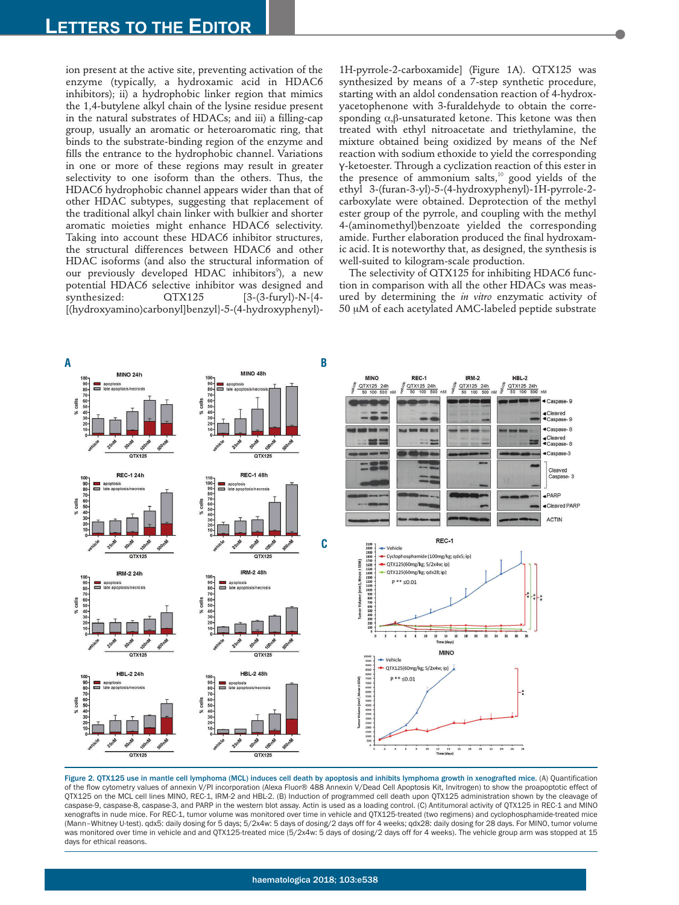ion present at the active site, preventing activation of the enzyme (typically, a hydroxamic acid in HDAC6 inhibitors); ii) a hydrophobic linker region that mimics the 1,4-butylene alkyl chain of the lysine residue present in the natural substrates of HDACs; and iii) a filling-cap group, usually an aromatic or heteroaromatic ring, that binds to the substrate-binding region of the enzyme and fills the entrance to the hydrophobic channel. Variations in one or more of these regions may result in greater selectivity to one isoform than the others. Thus, the HDAC6 hydrophobic channel appears wider than that of other HDAC subtypes, suggesting that replacement of the traditional alkyl chain linker with bulkier and shorter aromatic moieties might enhance HDAC6 selectivity. Taking into account these HDAC6 inhibitor structures, the structural differences between HDAC6 and other HDAC isoforms (and also the structural information of our previously developed HDAC inhibitors<sup>9</sup>), a new potential HDAC6 selective inhibitor was designed and synthesized:  $\alpha$ TX125 [3-(3-furyl)-N-{4-[(hydroxyamino)carbonyl]benzyl}-5-(4-hydroxyphenyl)-

1H-pyrrole-2-carboxamide] (Figure 1A). QTX125 was synthesized by means of a 7-step synthetic procedure, starting with an aldol condensation reaction of 4-hydroxyacetophenone with 3-furaldehyde to obtain the corresponding α,β-unsaturated ketone. This ketone was then treated with ethyl nitroacetate and triethylamine, the mixture obtained being oxidized by means of the Nef reaction with sodium ethoxide to yield the corresponding γ-ketoester. Through a cyclization reaction of this ester in the presence of ammonium salts, $10$  good yields of the ethyl 3-(furan-3-yl)-5-(4-hydroxyphenyl)-1H-pyrrole-2 carboxylate were obtained. Deprotection of the methyl ester group of the pyrrole, and coupling with the methyl 4-(aminomethyl)benzoate yielded the corresponding amide. Further elaboration produced the final hydroxamic acid. It is noteworthy that, as designed, the synthesis is well-suited to kilogram-scale production.

The selectivity of QTX125 for inhibiting HDAC6 function in comparison with all the other HDACs was measured by determining the *in vitro* enzymatic activity of 50 µM of each acetylated AMC-labeled peptide substrate



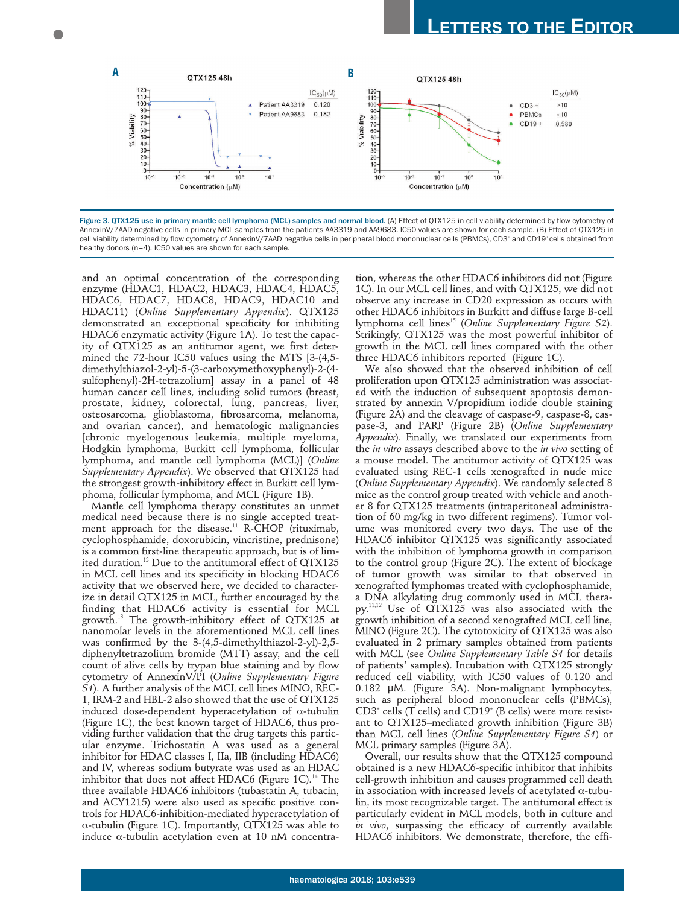

Figure 3. OTX125 use in primary mantle cell lymphoma (MCL) samples and normal blood. (A) Effect of OTX125 in cell viability determined by flow cytometry of AnnexinV/7AAD negative cells in primary MCL samples from the patients AA3319 and AA9683. IC50 values are shown for each sample. (B) Effect of QTX125 in cell viability determined by flow cytometry of AnnexinV/7AAD negative cells in peripheral blood mononuclear cells (PBMCs), CD3<sup>+</sup> and CD19+ cells obtained from healthy donors (n=4). IC50 values are shown for each sample.

and an optimal concentration of the corresponding enzyme (HDAC1, HDAC2, HDAC3, HDAC4, HDAC5, HDAC6, HDAC7, HDAC8, HDAC9, HDAC10 and HDAC11) (*Online Supplementary Appendix*). QTX125 demonstrated an exceptional specificity for inhibiting HDAC6 enzymatic activity (Figure 1A). To test the capacity of QTX125 as an antitumor agent, we first determined the 72-hour IC50 values using the MTS [3-(4,5 dimethylthiazol-2-yl)-5-(3-carboxymethoxyphenyl)-2-(4 sulfophenyl)-2H-tetrazolium] assay in a panel of 48 human cancer cell lines, including solid tumors (breast, prostate, kidney, colorectal, lung, pancreas, liver, osteosarcoma, glioblastoma, fibrosarcoma, melanoma, and ovarian cancer), and hematologic malignancies [chronic myelogenous leukemia, multiple myeloma, Hodgkin lymphoma, Burkitt cell lymphoma, follicular lymphoma, and mantle cell lymphoma (MCL)] (*Online Supplementary Appendix*). We observed that QTX125 had the strongest growth-inhibitory effect in Burkitt cell lymphoma, follicular lymphoma, and MCL (Figure 1B).

Mantle cell lymphoma therapy constitutes an unmet medical need because there is no single accepted treatment approach for the disease.<sup>11</sup> R-CHOP (rituximab, cyclophosphamide, doxorubicin, vincristine, prednisone) is a common first-line therapeutic approach, but is of limited duration.<sup>12</sup> Due to the antitumoral effect of  $\alpha$ TX125 in MCL cell lines and its specificity in blocking HDAC6 activity that we observed here, we decided to characterize in detail QTX125 in MCL, further encouraged by the finding that HDAC6 activity is essential for MCL growth.<sup>13</sup> The growth-inhibitory effect of QTX125 at nanomolar levels in the aforementioned MCL cell lines was confirmed by the 3-(4,5-dimethylthiazol-2-yl)-2,5 diphenyltetrazolium bromide (MTT) assay, and the cell count of alive cells by trypan blue staining and by flow cytometry of AnnexinV/PI (*Online Supplementary Figure S1*). A further analysis of the MCL cell lines MINO, REC-1, IRM-2 and HBL-2 also showed that the use of QTX125 induced dose-dependent hyperacetylation of  $\alpha$ -tubulin (Figure 1C), the best known target of HDAC6, thus providing further validation that the drug targets this particular enzyme. Trichostatin A was used as a general inhibitor for HDAC classes I, IIa, IIB (including HDAC6) and IV, whereas sodium butyrate was used as an HDAC inhibitor that does not affect HDAC6 (Figure  $1C$ ).<sup>14</sup> The three available HDAC6 inhibitors (tubastatin A, tubacin, and ACY1215) were also used as specific positive controls for HDAC6-inhibition-mediated hyperacetylation of α-tubulin (Figure 1C). Importantly, QTX125 was able to induce α-tubulin acetylation even at 10 nM concentration, whereas the other HDAC6 inhibitors did not (Figure 1C). In our MCL cell lines, and with QTX125, we did not observe any increase in CD20 expression as occurs with other HDAC6 inhibitors in Burkitt and diffuse large B-cell lymphoma cell lines<sup>15</sup> (*Online Supplementary Figure S2*). Strikingly, QTX125 was the most powerful inhibitor of growth in the MCL cell lines compared with the other three HDAC6 inhibitors reported (Figure 1C).

We also showed that the observed inhibition of cell proliferation upon QTX125 administration was associated with the induction of subsequent apoptosis demonstrated by annexin V/propidium iodide double staining (Figure 2A) and the cleavage of caspase-9, caspase-8, caspase-3, and PARP (Figure 2B) (*Online Supplementary Appendix*). Finally, we translated our experiments from the *in vitro* assays described above to the *in vivo* setting of a mouse model. The antitumor activity of QTX125 was evaluated using REC-1 cells xenografted in nude mice (*Online Supplementary Appendix*). We randomly selected 8 mice as the control group treated with vehicle and another 8 for QTX125 treatments (intraperitoneal administration of 60 mg/kg in two different regimens). Tumor volume was monitored every two days. The use of the HDAC6 inhibitor QTX125 was significantly associated with the inhibition of lymphoma growth in comparison to the control group (Figure 2C). The extent of blockage of tumor growth was similar to that observed in xenografted lymphomas treated with cyclophosphamide, a DNA alkylating drug commonly used in MCL therapy.11,12 Use of QTX125 was also associated with the growth inhibition of a second xenografted MCL cell line, MINO (Figure 2C). The cytotoxicity of QTX125 was also evaluated in 2 primary samples obtained from patients with MCL (see *Online Supplementary Table S1* for details of patients' samples). Incubation with QTX125 strongly reduced cell viability, with IC50 values of 0.120 and 0.182 μM. (Figure 3A). Non-malignant lymphocytes, such as peripheral blood mononuclear cells (PBMCs), CD3<sup>+</sup> cells (T cells) and CD19<sup>+</sup> (B cells) were more resistant to QTX125–mediated growth inhibition (Figure 3B) than MCL cell lines (*Online Supplementary Figure S1*) or MCL primary samples (Figure 3A).

Overall, our results show that the QTX125 compound obtained is a new HDAC6-specific inhibitor that inhibits cell-growth inhibition and causes programmed cell death in association with increased levels of acetylated α-tubulin, its most recognizable target. The antitumoral effect is particularly evident in MCL models, both in culture and *in vivo*, surpassing the efficacy of currently available HDAC6 inhibitors. We demonstrate, therefore, the effi